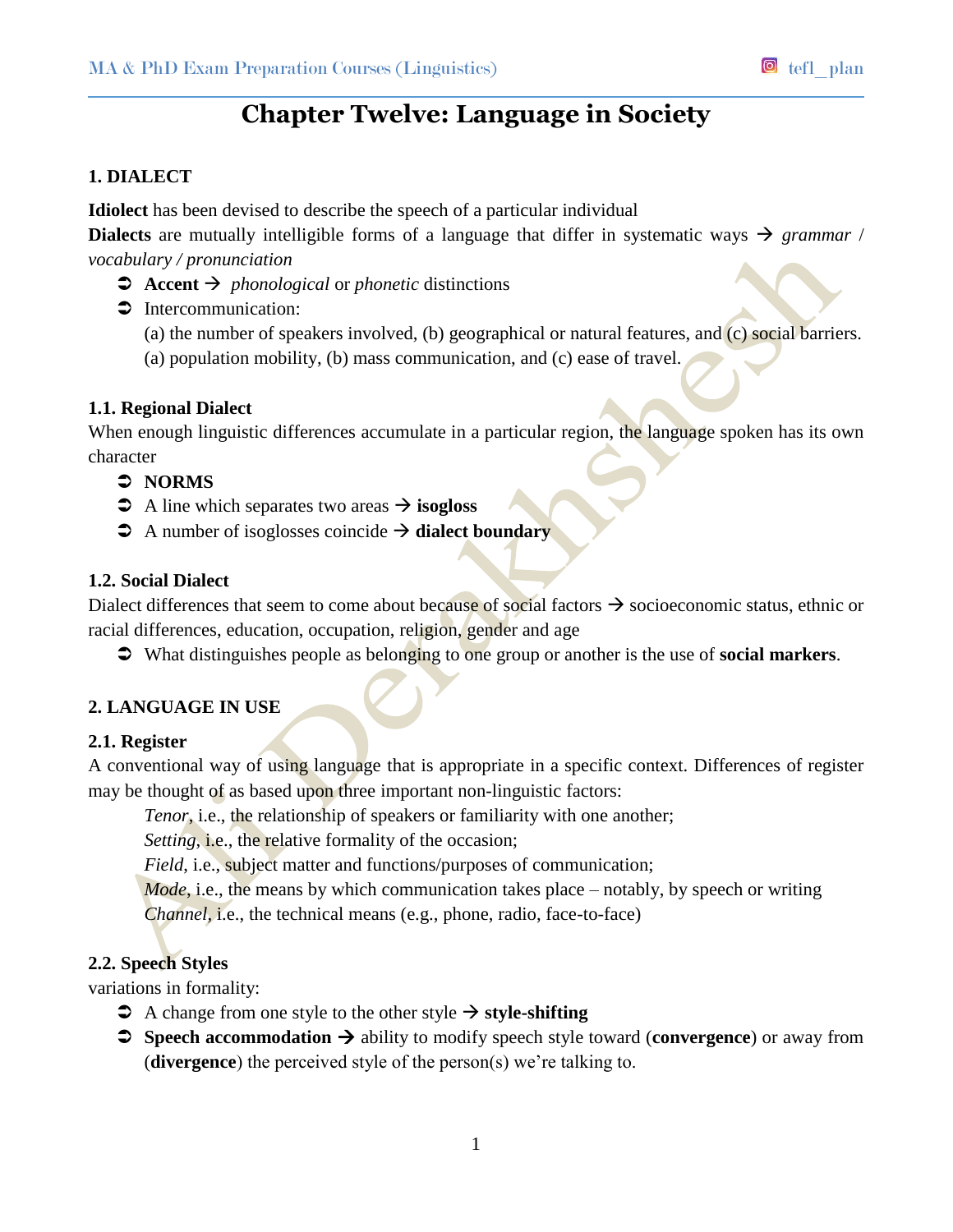# **Chapter Twelve: Language in Society**

# **1. DIALECT**

**Idiolect** has been devised to describe the speech of a particular individual

**Dialects** are mutually intelligible forms of a language that differ in systematic ways  $\rightarrow$  grammar / *vocabulary / pronunciation*

- $\Rightarrow$  **Accent**  $\Rightarrow$  *phonological* or *phonetic* distinctions
- $\supset$  Intercommunication:
	- (a) the number of speakers involved, (b) geographical or natural features, and (c) social barriers.
	- (a) population mobility, (b) mass communication, and (c) ease of travel.

# **1.1. Regional Dialect**

When enough linguistic differences accumulate in a particular region, the language spoken has its own character

# **NORMS**

- $\triangle$  A line which separates two areas  $\rightarrow$  **isogloss**
- $\Rightarrow$  A number of isoglosses coincide  $\Rightarrow$  **dialect boundary**

# **1.2. Social Dialect**

Dialect differences that seem to come about because of social factors  $\rightarrow$  socioeconomic status, ethnic or racial differences, education, occupation, religion, gender and age

What distinguishes people as belonging to one group or another is the use of **social markers**.

# **2. LANGUAGE IN USE**

## **2.1. Register**

A conventional way of using language that is appropriate in a specific context. Differences of register may be thought of as based upon three important non-linguistic factors:

*Tenor*, i.e., the relationship of speakers or familiarity with one another;

*Setting*, *i.e.*, the relative formality of the occasion;

*Field*, i.e., subject matter and functions/purposes of communication;

*Mode*, i.e., the means by which communication takes place – notably, by speech or writing

*Channel*, i.e., the technical means (e.g., phone, radio, face-to-face)

# **2.2. Speech Styles**

variations in formality:

- $\triangleright$  A change from one style to the other style  $\rightarrow$  style-shifting
- $\Rightarrow$  **Speech accommodation**  $\rightarrow$  ability to modify speech style toward (**convergence**) or away from (**divergence**) the perceived style of the person(s) we're talking to.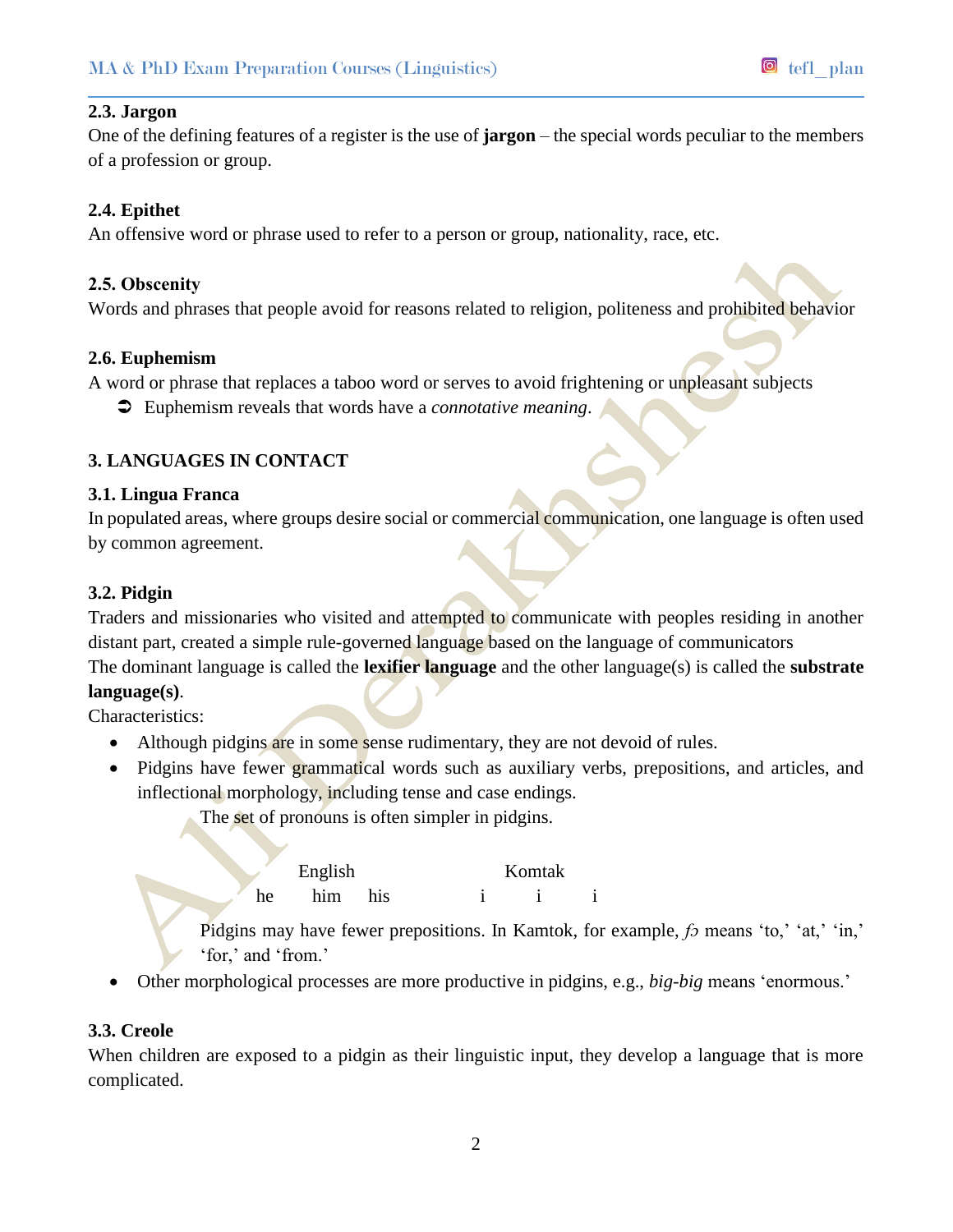#### **2.3. Jargon**

One of the defining features of a register is the use of **jargon** – the special words peculiar to the members of a profession or group.

## **2.4. Epithet**

An offensive word or phrase used to refer to a person or group, nationality, race, etc.

#### **2.5. Obscenity**

Words and phrases that people avoid for reasons related to religion, politeness and prohibited behavior

#### **2.6. Euphemism**

A word or phrase that replaces a taboo word or serves to avoid frightening or unpleasant subjects

Euphemism reveals that words have a *connotative meaning*.

# **3. LANGUAGES IN CONTACT**

#### **3.1. Lingua Franca**

In populated areas, where groups desire social or commercial communication, one language is often used by common agreement.

## **3.2. Pidgin**

Traders and missionaries who visited and attempted to communicate with peoples residing in another distant part, created a simple rule-governed language based on the language of communicators The dominant language is called the **lexifier language** and the other language(s) is called the **substrate language(s)**.

Characteristics:

- Although pidgins are in some sense rudimentary, they are not devoid of rules.
- Pidgins have fewer grammatical words such as auxiliary verbs, prepositions, and articles, and inflectional morphology, including tense and case endings.

The set of pronouns is often simpler in pidgins.

|    | English | Komtak          |  |  |  |  |                                                                        |
|----|---------|-----------------|--|--|--|--|------------------------------------------------------------------------|
| he | him     | h <sub>1S</sub> |  |  |  |  |                                                                        |
|    |         |                 |  |  |  |  | Pidging may have fewer prepositions In Kamtok for example fo means 'to |

Pidgins may have fewer prepositions. In Kamtok, for example, *fɔ* means 'to,' 'at,' 'in,' 'for,' and 'from.'

Other morphological processes are more productive in pidgins, e.g., *big-big* means 'enormous.'

## **3.3. Creole**

When children are exposed to a pidgin as their linguistic input, they develop a language that is more complicated.